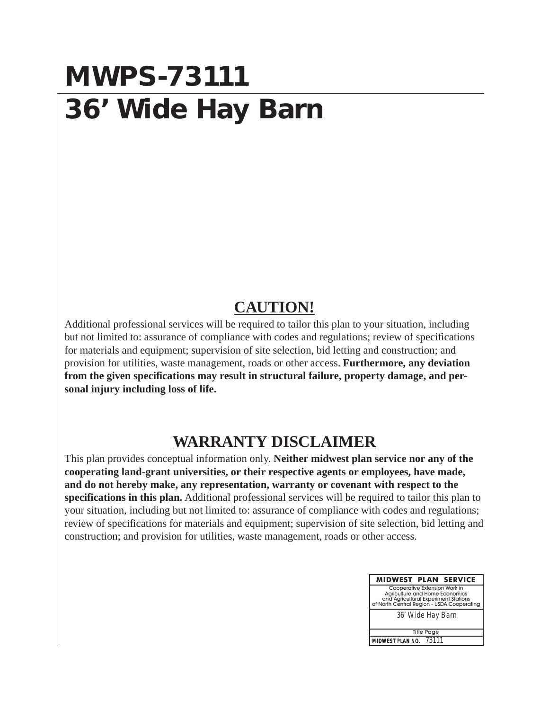## **MWPS-73111 36' Wide Hay Barn**

## **CAUTION!**

Additional professional services will be required to tailor this plan to your situation, including but not limited to: assurance of compliance with codes and regulations; review of specifications for materials and equipment; supervision of site selection, bid letting and construction; and provision for utilities, waste management, roads or other access. **Furthermore, any deviation from the given specifications may result in structural failure, property damage, and personal injury including loss of life.**

## **WARRANTY DISCLAIMER**

This plan provides conceptual information only. **Neither midwest plan service nor any of the cooperating land-grant universities, or their respective agents or employees, have made, and do not hereby make, any representation, warranty or covenant with respect to the specifications in this plan.** Additional professional services will be required to tailor this plan to your situation, including but not limited to: assurance of compliance with codes and regulations; review of specifications for materials and equipment; supervision of site selection, bid letting and construction; and provision for utilities, waste management, roads or other access.

| <b>MIDWEST PLAN SERVICE</b>                                                                                                                           |  |  |  |  |
|-------------------------------------------------------------------------------------------------------------------------------------------------------|--|--|--|--|
| Cooperative Extension Work in<br>Agriculture and Home Economics<br>and Agricultural Experiment Stations<br>of North Central Region - USDA Cooperating |  |  |  |  |
| 36' Wide Hay Barn                                                                                                                                     |  |  |  |  |
| <b>Title Page</b>                                                                                                                                     |  |  |  |  |
| MIDWEST PLAN NO. 73111                                                                                                                                |  |  |  |  |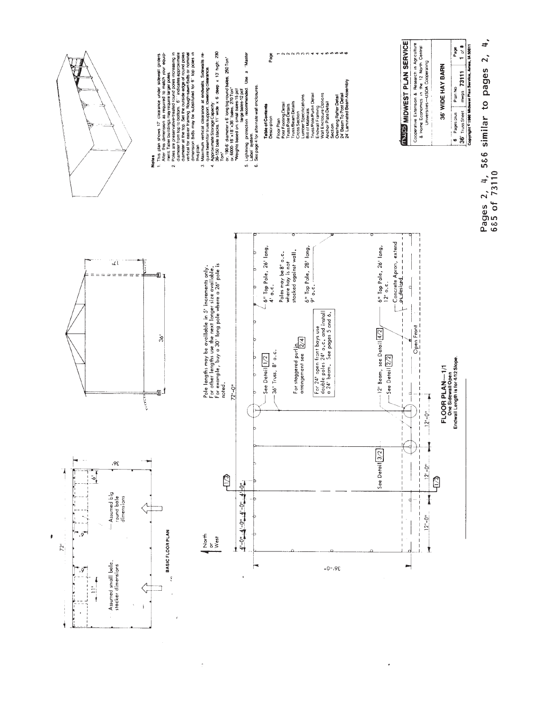

l,

ä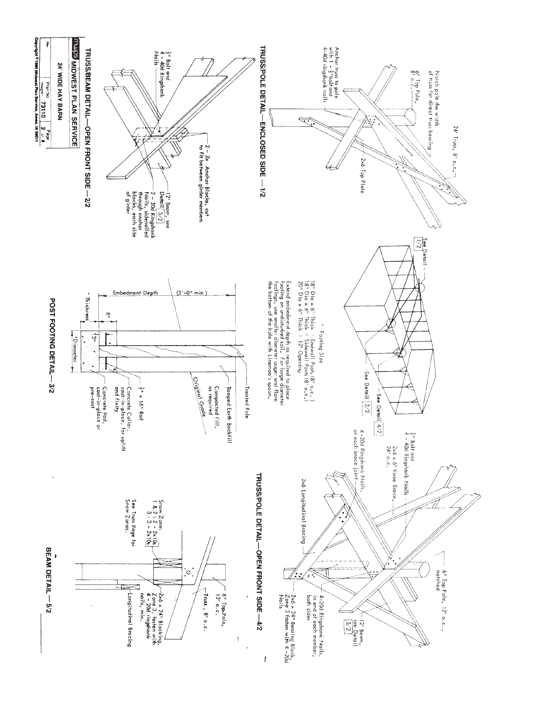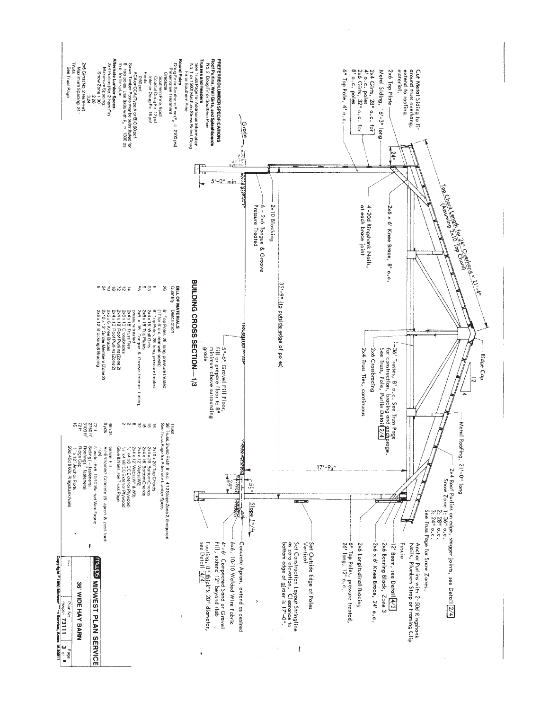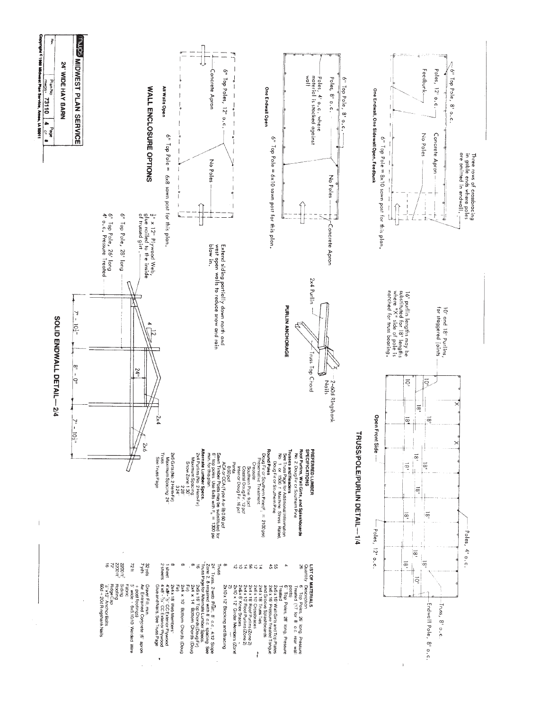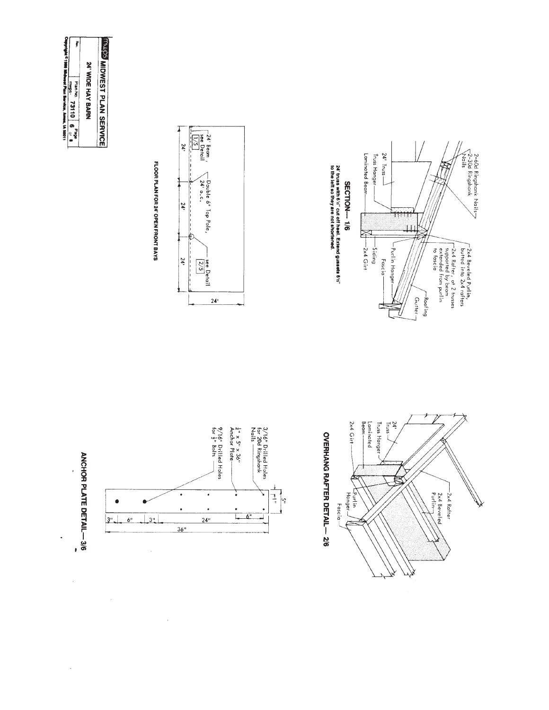|                                                     | ţ                                                 |                   |                                 |
|-----------------------------------------------------|---------------------------------------------------|-------------------|---------------------------------|
| IPITIBIN C1980 Midwest Plan Bervice, Ames, IA 50011 | <b>Plan No</b><br>SCMALL<br>73110   6<br>age<br>M | 24' WIDE HAY BARN | <b>WAS MIDWEST PLAN SERVICE</b> |

ANCHOR PLATE DETAIL-3/6

 $\frac{1}{2}$ 

 $\bullet$ 

3"L

 $\hat{\mathcal{A}}$ 

 $6^{\rm o}$ 

 $\perp$ 3"

 $\frac{1}{\sqrt{2}}$ 

 $\bar{\mathbf{r}}$ 





















 $\mathcal{L}_{\mathcal{C}}$ 

 $\frac{1}{2}$ 

 $\frac{1}{\sqrt{\frac{1}{n}}} \left| \frac{1}{\frac{1}{n}} \right|$ 

 $\frac{1}{4}$ " x 5" x 36"<br>Anchor Plate-

 $\ddot{\phantom{0}}$ 

 $L_6$ 

 $9/16$ " Drilled Holes<br>for  $\frac{1}{2}$ " Bolts

 $\cdot$ 

.

 $24$ "

 $36"$ 

FLOOR PLAN FOR 24' OPEN FRONT BAYS